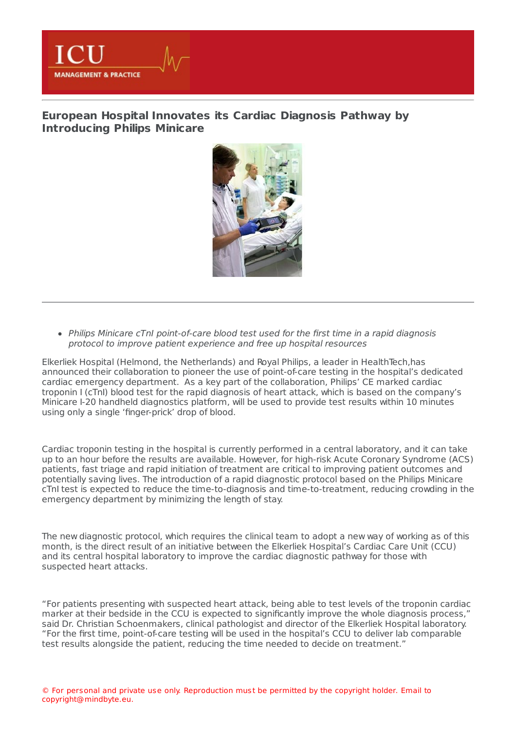

## **European Hospital Innovates its Cardiac Diagnosis Pathway by [Introducing](https://healthmanagement.org/s/european-hospital-innovates-its-cardiac-diagnosis-pathway-by-introducing-philips-minicare-1) Philips Minicare**



• Philips Minicare cTnI point-of-care blood test used for the first time in a rapid diagnosis protocol to improve patient experience and free up hospital resources

Elkerliek Hospital (Helmond, the Netherlands) and Royal Philips, a leader in HealthTech,has announced their collaboration to pioneer the use of point-of-care testing in the hospital's dedicated cardiac emergency department. As a key part of the collaboration, Philips' CE marked cardiac troponin I (cTnI) blood test for the rapid diagnosis of heart attack, which is based on the company's Minicare I-20 handheld diagnostics platform, will be used to provide test results within 10 minutes using only a single 'finger-prick' drop of blood.

Cardiac troponin testing in the hospital is currently performed in a central laboratory, and it can take up to an hour before the results are available. However, for high-risk Acute Coronary Syndrome (ACS) patients, fast triage and rapid initiation of treatment are critical to improving patient outcomes and potentially saving lives. The introduction of a rapid diagnostic protocol based on the Philips Minicare cTnI test is expected to reduce the time-to-diagnosis and time-to-treatment, reducing crowding in the emergency department by minimizing the length of stay.

The new diagnostic protocol, which requires the clinical team to adopt a new way of working as of this month, is the direct result of an initiative between the Elkerliek Hospital's Cardiac Care Unit (CCU) and its central hospital laboratory to improve the cardiac diagnostic pathway for those with suspected heart attacks.

"For patients presenting with suspected heart attack, being able to test levels of the troponin cardiac marker at their bedside in the CCU is expected to significantly improve the whole diagnosis process," said Dr. Christian Schoenmakers, clinical pathologist and director of the Elkerliek Hospital laboratory. "For the first time, point-of-care testing will be used in the hospital's CCU to deliver lab comparable test results alongside the patient, reducing the time needed to decide on treatment."